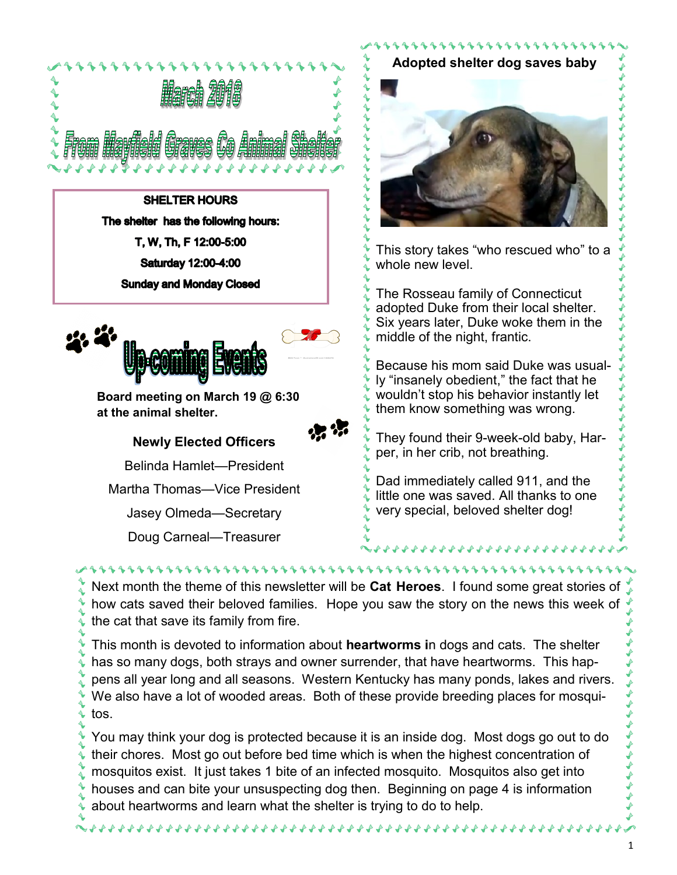

**SHELTER HOURS** The shelter has the following hours: T, W, Th, F 12:00-5:00 Saturday 12:00-4:00 **Sunday and Monday Closed** 



**Board meeting on March 19 @ 6:30 at the animal shelter.**

**Newly Elected Officers** Belinda Hamlet—President

Martha Thomas—Vice President

Jasey Olmeda—Secretary

Doug Carneal—Treasurer

**Adopted shelter dog saves baby** This story takes "who rescued who" to a

11111111111111

whole new level.

The Rosseau family of Connecticut adopted Duke from their local shelter. Six years later, Duke woke them in the middle of the night, frantic.

Because his mom said Duke was usually "insanely obedient," the fact that he wouldn't stop his behavior instantly let them know something was wrong.

They found their 9-week-old baby, Harper, in her crib, not breathing.

Dad immediately called 911, and the little one was saved. All thanks to one very special, beloved shelter dog!

444444444

Next month the theme of this newsletter will be **Cat Heroes**. I found some great stories of how cats saved their beloved families. Hope you saw the story on the news this week of the cat that save its family from fire.

This month is devoted to information about **heartworms i**n dogs and cats. The shelter has so many dogs, both strays and owner surrender, that have heartworms. This happens all year long and all seasons. Western Kentucky has many ponds, lakes and rivers. We also have a lot of wooded areas. Both of these provide breeding places for mosquitos.

You may think your dog is protected because it is an inside dog. Most dogs go out to do their chores. Most go out before bed time which is when the highest concentration of mosquitos exist. It just takes 1 bite of an infected mosquito. Mosquitos also get into houses and can bite your unsuspecting dog then. Beginning on page 4 is information about heartworms and learn what the shelter is trying to do to help.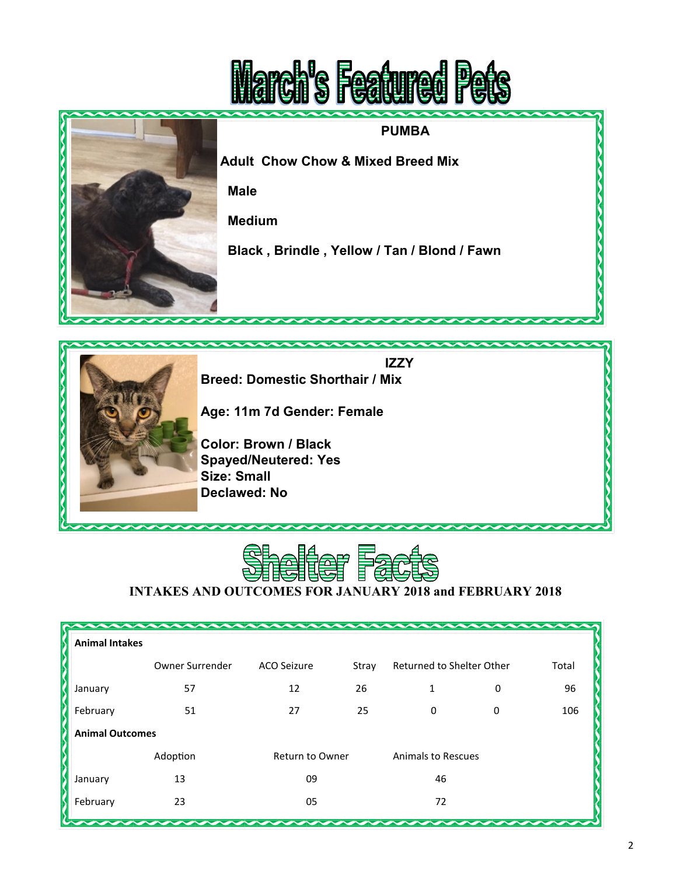





**INTAKES AND OUTCOMES FOR JANUARY 2018 and FEBRUARY 2018**

| <b>Animal Intakes</b>    |                 |                        |       |                           |   |       |  |  |  |
|--------------------------|-----------------|------------------------|-------|---------------------------|---|-------|--|--|--|
|                          | Owner Surrender | ACO Seizure            | Stray | Returned to Shelter Other |   | Total |  |  |  |
| January                  | 57              | 12                     | 26    | 1                         | 0 | 96    |  |  |  |
| February                 | 51              | 27                     | 25    | 0                         | 0 | 106   |  |  |  |
| <b>Animal Outcomes</b>   |                 |                        |       |                           |   |       |  |  |  |
|                          | Adoption        | <b>Return to Owner</b> |       | <b>Animals to Rescues</b> |   |       |  |  |  |
| January                  | 13              | 09                     |       | 46                        |   |       |  |  |  |
| February                 | 23              | 05                     |       | 72                        |   |       |  |  |  |
| $\overline{\phantom{a}}$ |                 |                        |       |                           |   |       |  |  |  |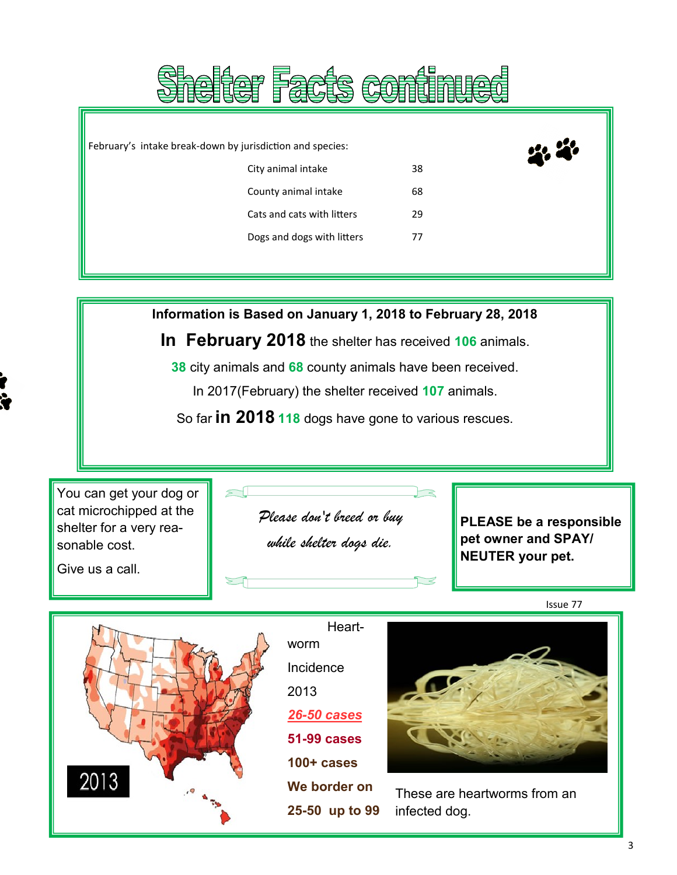|                                                           |                            | 具有全体 在油脂脂肪等 |  |
|-----------------------------------------------------------|----------------------------|-------------|--|
|                                                           |                            |             |  |
| February's intake break-down by jurisdiction and species: |                            |             |  |
|                                                           | City animal intake         | 38          |  |
|                                                           | County animal intake       | 68          |  |
|                                                           | Cats and cats with litters | 29          |  |
|                                                           | Dogs and dogs with litters | 77          |  |
|                                                           |                            |             |  |

**Rhallam Faala aam<sup>4</sup>munad** 

**Information is Based on January 1, 2018 to February 28, 2018 In February 2018** the shelter has received **106** animals. **38** city animals and **68** county animals have been received. In 2017(February) the shelter received **107** animals. So far **in 2018 118** dogs have gone to various rescues. You can get your dog or cat microchipped at the shelter for a very reasonable cost. Give us a call. Issue 77 **PLEASE be a responsible pet owner and SPAY/ NEUTER your pet.** Heartworm Incidence 2013 *26-50 cases Please don't breed or buy while shelter dogs die.* 

**51-99 cases**

**100+ cases**

2013

**We border on**

**25-50 up to 99**

3

These are heartworms from an

infected dog.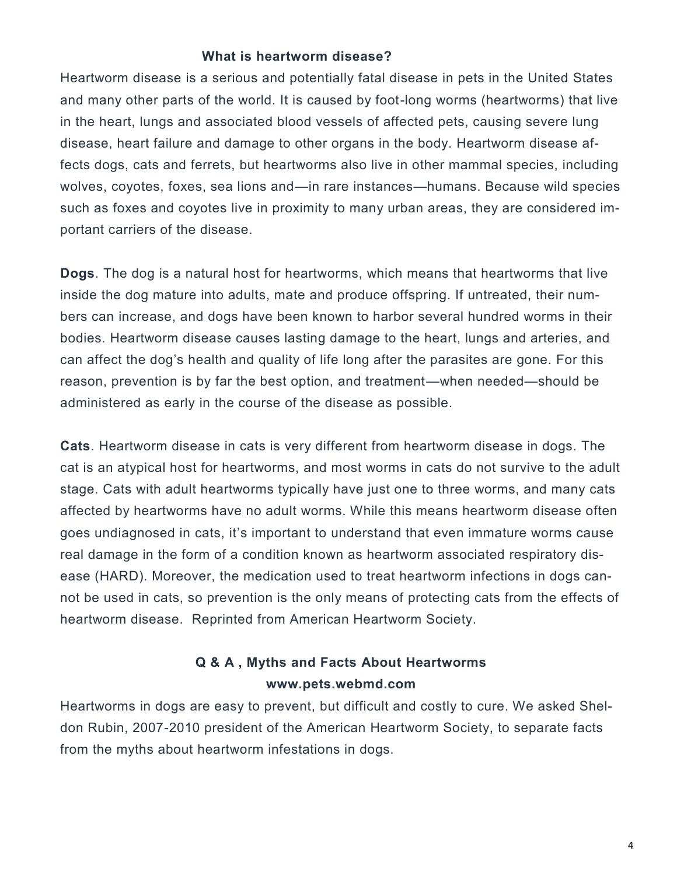## **What is heartworm disease?**

Heartworm disease is a serious and potentially fatal disease in pets in the United States and many other parts of the world. It is caused by foot-long worms (heartworms) that live in the heart, lungs and associated blood vessels of affected pets, causing severe lung disease, heart failure and damage to other organs in the body. Heartworm disease affects dogs, cats and ferrets, but heartworms also live in other mammal species, including wolves, coyotes, foxes, sea lions and—in rare instances—humans. Because wild species such as foxes and coyotes live in proximity to many urban areas, they are considered important carriers of the disease.

administered as early in the course of the disease as possible. **Dogs**. The dog is a natural host for heartworms, which means that heartworms that live inside the dog mature into adults, mate and produce offspring. If untreated, their numbers can increase, and dogs have been known to harbor several hundred worms in their bodies. Heartworm disease causes lasting damage to the heart, lungs and arteries, and can affect the dog's health and quality of life long after the parasites are gone. For this reason, prevention is by far the best option, and treatment—when needed—should be

**Cats**. Heartworm disease in cats is very different from heartworm disease in dogs. The cat is an atypical host for heartworms, and most worms in cats do not survive to the adult stage. Cats with adult heartworms typically have just one to three worms, and many cats affected by heartworms have no adult worms. While this means heartworm disease often goes undiagnosed in cats, it's important to understand that even immature worms cause real damage in the form of a condition known as heartworm associated respiratory disease (HARD). Moreover, the medication used to treat heartworm infections in dogs cannot be used in cats, so prevention is the only means of protecting cats from the effects of heartworm disease. Reprinted from American Heartworm Society.

## **Q & A , Myths and Facts About Heartworms www.pets.webmd.com**

Heartworms in dogs are easy to prevent, but difficult and costly to cure. We asked Sheldon Rubin, 2007-2010 president of the American Heartworm Society, to separate facts from the myths about heartworm infestations in dogs.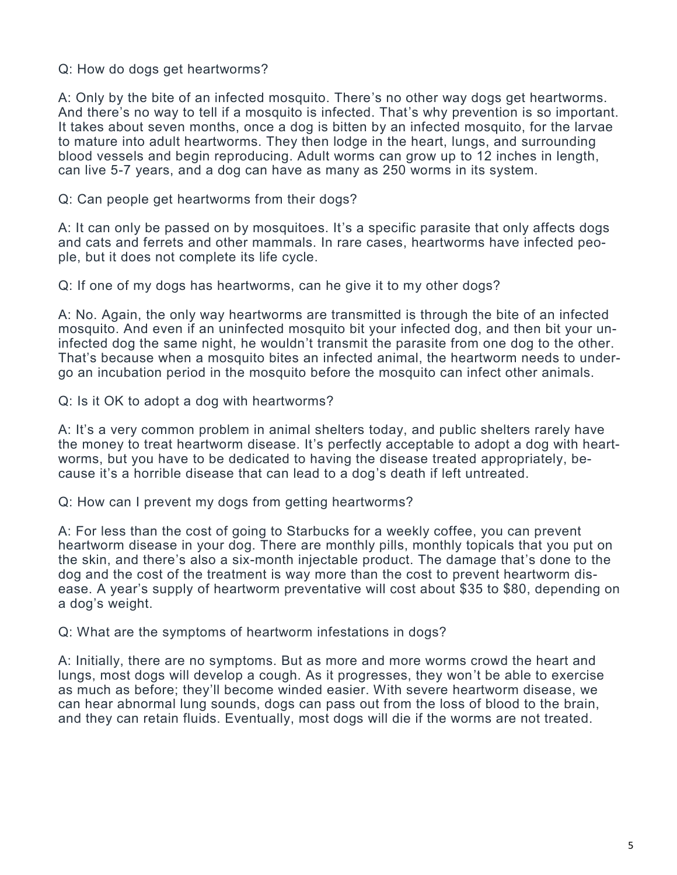## Q: How do dogs get heartworms?

A: Only by the bite of an infected mosquito. There's no other way dogs get heartworms. And there's no way to tell if a mosquito is infected. That's why prevention is so important. It takes about seven months, once a dog is bitten by an infected mosquito, for the larvae to mature into adult heartworms. They then lodge in the heart, lungs, and surrounding blood vessels and begin reproducing. Adult worms can grow up to 12 inches in length, can live 5-7 years, and a dog can have as many as 250 worms in its system.

## Q: Can people get heartworms from their dogs?

A: It can only be passed on by mosquitoes. It's a specific parasite that only affects dogs and cats and ferrets and other mammals. In rare cases, heartworms have infected people, but it does not complete its life cycle.

Q: If one of my dogs has heartworms, can he give it to my other dogs?

A: No. Again, the only way heartworms are transmitted is through the bite of an infected mosquito. And even if an uninfected mosquito bit your infected dog, and then bit your uninfected dog the same night, he wouldn't transmit the parasite from one dog to the other. That's because when a mosquito bites an infected animal, the heartworm needs to undergo an incubation period in the mosquito before the mosquito can infect other animals.

Q: Is it OK to adopt a dog with heartworms?

A: It's a very common problem in animal shelters today, and public shelters rarely have the money to treat heartworm disease. It's perfectly acceptable to adopt a dog with heartworms, but you have to be dedicated to having the disease treated appropriately, because it's a horrible disease that can lead to a dog's death if left untreated.

Q: How can I prevent my dogs from getting heartworms?

A: For less than the cost of going to Starbucks for a weekly coffee, you can prevent heartworm disease in your dog. There are monthly pills, monthly topicals that you put on the skin, and there's also a six-month injectable product. The damage that's done to the dog and the cost of the treatment is way more than the cost to prevent heartworm disease. A year's supply of heartworm preventative will cost about \$35 to \$80, depending on a dog's weight.

Q: What are the symptoms of heartworm infestations in dogs?

A: Initially, there are no symptoms. But as more and more worms crowd the heart and lungs, most dogs will develop a cough. As it progresses, they won't be able to exercise as much as before; they'll become winded easier. With severe heartworm disease, we can hear abnormal lung sounds, dogs can pass out from the loss of blood to the brain, and they can retain fluids. Eventually, most dogs will die if the worms are not treated.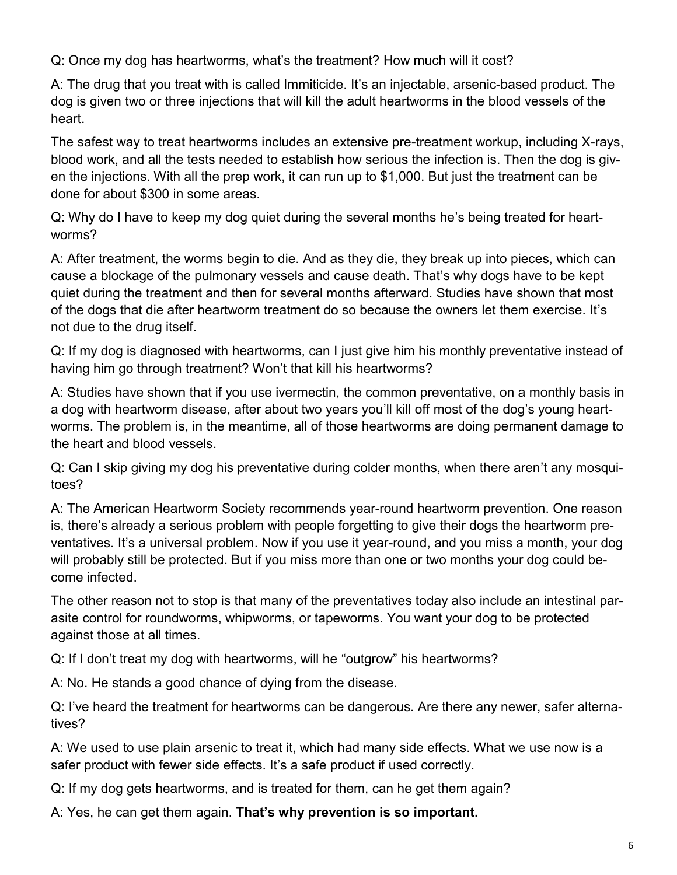Q: Once my dog has heartworms, what's the treatment? How much will it cost?

A: The drug that you treat with is called Immiticide. It's an injectable, arsenic-based product. The dog is given two or three injections that will kill the adult heartworms in the blood vessels of the heart.

The safest way to treat heartworms includes an extensive pre-treatment workup, including X-rays, blood work, and all the tests needed to establish how serious the infection is. Then the dog is given the injections. With all the prep work, it can run up to \$1,000. But just the treatment can be done for about \$300 in some areas.

Q: Why do I have to keep my dog quiet during the several months he's being treated for heartworms?

A: After treatment, the worms begin to die. And as they die, they break up into pieces, which can cause a blockage of the pulmonary vessels and cause death. That's why dogs have to be kept quiet during the treatment and then for several months afterward. Studies have shown that most of the dogs that die after heartworm treatment do so because the owners let them exercise. It's not due to the drug itself.

Q: If my dog is diagnosed with heartworms, can I just give him his monthly preventative instead of having him go through treatment? Won't that kill his heartworms?

A: Studies have shown that if you use ivermectin, the common preventative, on a monthly basis in a dog with heartworm disease, after about two years you'll kill off most of the dog's young heartworms. The problem is, in the meantime, all of those heartworms are doing permanent damage to the heart and blood vessels.

Q: Can I skip giving my dog his preventative during colder months, when there aren't any mosquitoes?

A: The American Heartworm Society recommends year-round heartworm prevention. One reason is, there's already a serious problem with people forgetting to give their dogs the heartworm preventatives. It's a universal problem. Now if you use it year-round, and you miss a month, your dog will probably still be protected. But if you miss more than one or two months your dog could become infected.

The other reason not to stop is that many of the preventatives today also include an intestinal parasite control for roundworms, whipworms, or tapeworms. You want your dog to be protected against those at all times.

Q: If I don't treat my dog with heartworms, will he "outgrow" his heartworms?

A: No. He stands a good chance of dying from the disease.

Q: I've heard the treatment for heartworms can be dangerous. Are there any newer, safer alternatives?

A: We used to use plain arsenic to treat it, which had many side effects. What we use now is a safer product with fewer side effects. It's a safe product if used correctly.

Q: If my dog gets heartworms, and is treated for them, can he get them again?

A: Yes, he can get them again. **That's why prevention is so important.**